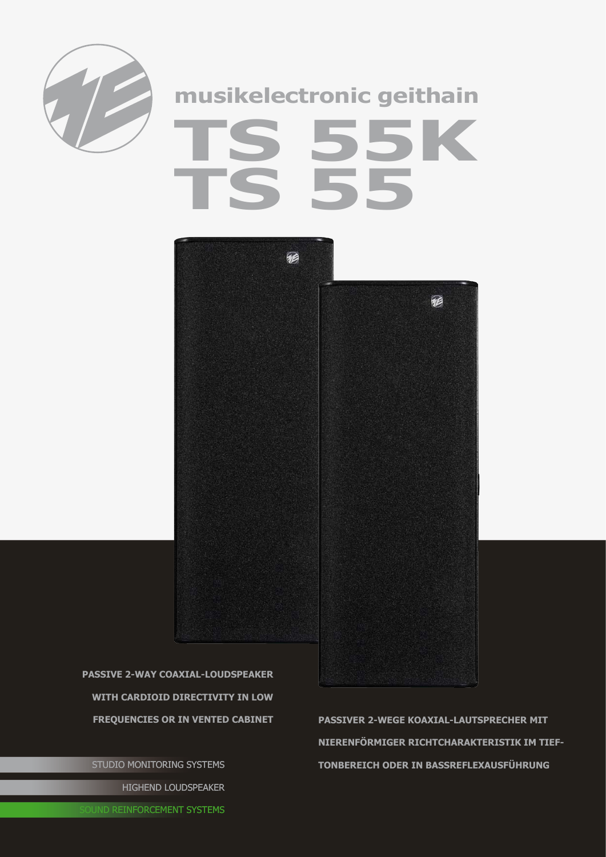

## **musikelectronic geithain TS 55K TS 55**



**passive 2-way coaxial-Loudspeaker with cardioid directivity in low** 

STUDIO MONITORING SYSTEMS HIGHEND LOUDSPEAKER

**frequencies or in vented cabinet passiveR 2-wEGE Koaxial-lAUTSPRECHER mit nierenförmiger Richtcharakteristik im Tieftonbereich ODER IN BASSREFLEXAUSFÜHRUNG**

**DUND REINFORCEMENT SYSTEMS**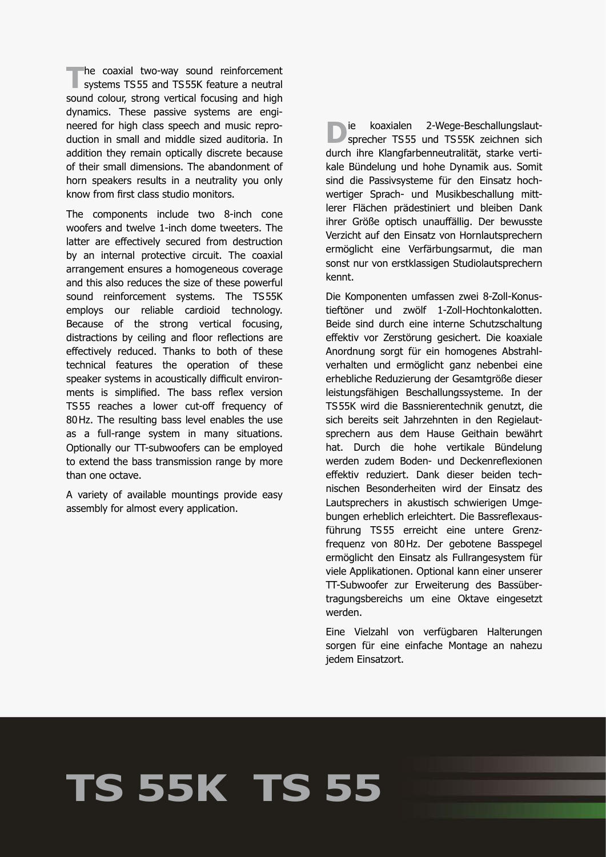**The coaxial two-way sound reinforcement**<br>systems TS55 and TS55K feature a neutral sound colour, strong vertical focusing and high dynamics. These passive systems are engineered for high class speech and music reproduction in small and middle sized auditoria. In addition they remain optically discrete because of their small dimensions. The abandonment of horn speakers results in a neutrality you only know from first class studio monitors.

The components include two 8-inch cone woofers and twelve 1-inch dome tweeters. The latter are effectively secured from destruction by an internal protective circuit. The coaxial arrangement ensures a homogeneous coverage and this also reduces the size of these powerful sound reinforcement systems. The TS55K employs our reliable cardioid technology. Because of the strong vertical focusing, distractions by ceiling and floor reflections are effectively reduced. Thanks to both of these technical features the operation of these speaker systems in acoustically difficult environments is simplified. The bass reflex version TS55 reaches a lower cut-off frequency of 80Hz. The resulting bass level enables the use as a full-range system in many situations. Optionally our TT-subwoofers can be employed to extend the bass transmission range by more than one octave.

A variety of available mountings provide easy assembly for almost every application.

**D**ie koaxialen 2-Wege-Beschallungslaut-<br>sprecher TS55 und TS55K zeichnen sich durch ihre Klangfarbenneutralität, starke vertikale Bündelung und hohe Dynamik aus. Somit sind die Passivsysteme für den Einsatz hochwertiger Sprach- und Musikbeschallung mittlerer Flächen prädestiniert und bleiben Dank ihrer Größe optisch unauffällig. Der bewusste Verzicht auf den Einsatz von Hornlautsprechern ermöglicht eine Verfärbungsarmut, die man sonst nur von erstklassigen Studiolautsprechern kennt.

Die Komponenten umfassen zwei 8-Zoll-Konustieftöner und zwölf 1-Zoll-Hochtonkalotten. Beide sind durch eine interne Schutzschaltung effektiv vor Zerstörung gesichert. Die koaxiale Anordnung sorgt für ein homogenes Abstrahlverhalten und ermöglicht ganz nebenbei eine erhebliche Reduzierung der Gesamtgröße dieser leistungsfähigen Beschallungssysteme. In der TS55K wird die Bassnierentechnik genutzt, die sich bereits seit Jahrzehnten in den Regielautsprechern aus dem Hause Geithain bewährt hat. Durch die hohe vertikale Bündelung werden zudem Boden- und Deckenreflexionen effektiv reduziert. Dank dieser beiden technischen Besonderheiten wird der Einsatz des Lautsprechers in akustisch schwierigen Umgebungen erheblich erleichtert. Die Bassreflexausführung TS55 erreicht eine untere Grenzfrequenz von 80Hz. Der gebotene Basspegel ermöglicht den Einsatz als Fullrangesystem für viele Applikationen. Optional kann einer unserer TT-Subwoofer zur Erweiterung des Bassübertragungsbereichs um eine Oktave eingesetzt werden.

Eine Vielzahl von verfügbaren Halterungen sorgen für eine einfache Montage an nahezu jedem Einsatzort.

## **TS 55K TS 55**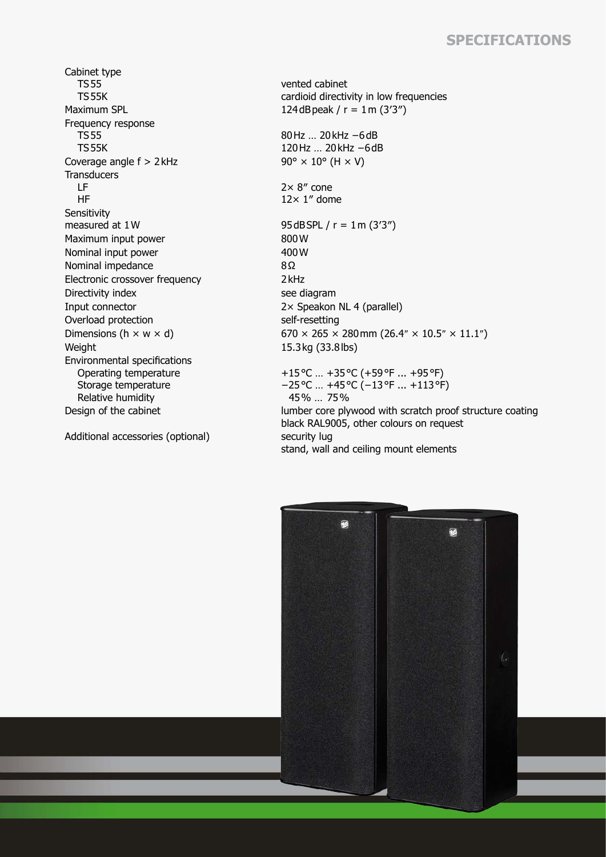## **Specifications**

Cabinet type TS55 TS55K Maximum SPL  $124 dB$ peak /  $r = 1$ m (3'3") Frequency response TS55 TS55K Coverage angle  $f > 2$  kHz 90°  $\times$  10° (H  $\times$  V) **Transducers**  LF HF **Sensitivity** measured at  $1 \text{W}$  95dBSPL / r =  $1 \text{m} (3'3'')$ Maximum input power 800 W Nominal input power 400 W<br>Nominal impedance 8Ω Nominal impedance Electronic crossover frequency example 2 kHz Directivity index see diagram Input connector 2× Speakon NL 4 (parallel) Overload protection self-resetting Weight 15.3kg (33.8lbs) Environmental specifications Operating temperature Storage temperature Relative humidity

Additional accessories (optional) security lug

vented cabinet cardioid directivity in low frequencies

80Hz … 20kHz −6dB 120Hz … 20kHz −6dB

2× 8″ cone  $12\times 1''$  dome

Dimensions (h  $\times$  w  $\times$  d) 670  $\times$  265  $\times$  280 mm (26.4"  $\times$  10.5"  $\times$  11.1")

+15°C … +35°C (+59°F ... +95°F) −25°C … +45°C (−13°F ... +113°F) 45% … 75% Design of the cabinet lumber core plywood with scratch proof structure coating black RAL9005, other colours on request stand, wall and ceiling mount elements